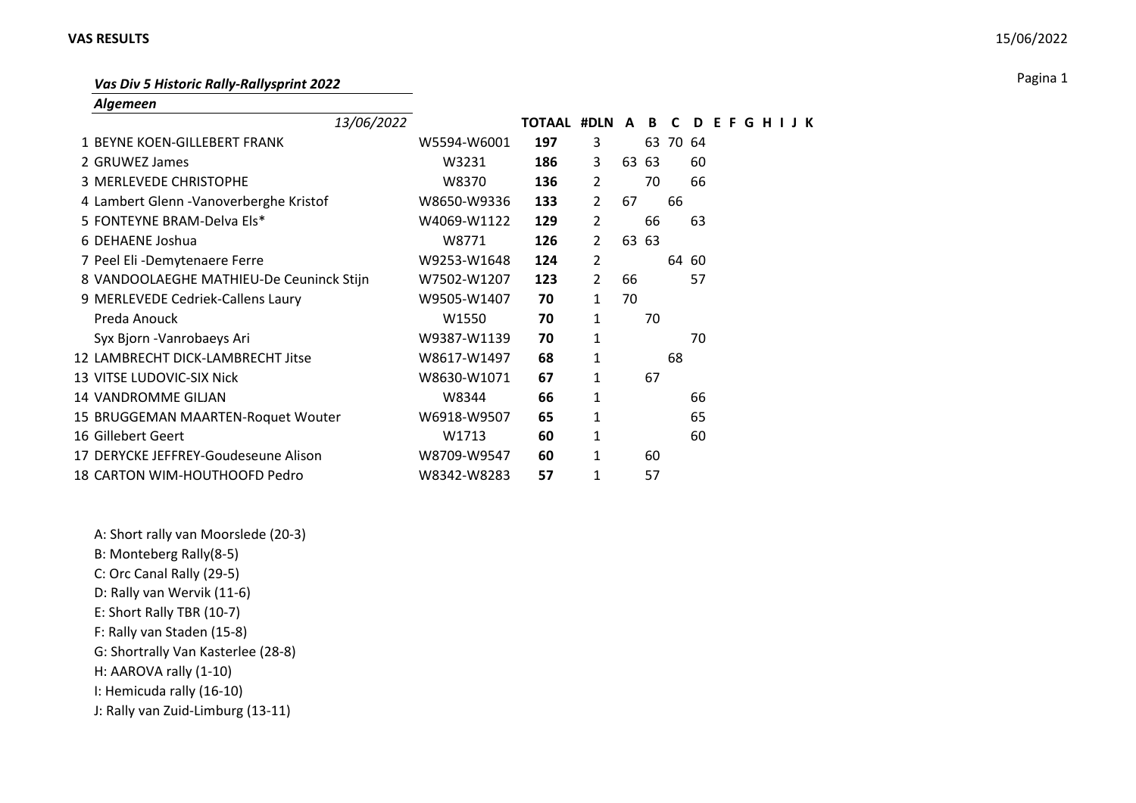## **VAS RESULTS** 15/06/2022

Pagina 1 *Vas Div 5 Historic Rally-Rallysprint 2022*

*Algemeen*

| 13/06/2022                               |             | TOTAAL #DLN A |                |    | B     | C        | D     | E | - F | G |  |  |
|------------------------------------------|-------------|---------------|----------------|----|-------|----------|-------|---|-----|---|--|--|
| 1 BEYNE KOEN-GILLEBERT FRANK             | W5594-W6001 | 197           | 3              |    |       | 63 70 64 |       |   |     |   |  |  |
| 2 GRUWEZ James                           | W3231       | 186           | 3              | 63 | 63    |          | 60    |   |     |   |  |  |
| 3 MERLEVEDE CHRISTOPHE                   | W8370       | 136           | $\overline{2}$ |    | 70    |          | 66    |   |     |   |  |  |
| 4 Lambert Glenn - Vanoverberghe Kristof  | W8650-W9336 | 133           | $\overline{2}$ | 67 |       | 66       |       |   |     |   |  |  |
| 5 FONTEYNE BRAM-Delva Els*               | W4069-W1122 | 129           | $\overline{2}$ |    | 66    |          | 63    |   |     |   |  |  |
| 6 DEHAENE Joshua                         | W8771       | 126           | 2              |    | 63 63 |          |       |   |     |   |  |  |
| 7 Peel Eli - Demytenaere Ferre           | W9253-W1648 | 124           | 2              |    |       |          | 64 60 |   |     |   |  |  |
| 8 VANDOOLAEGHE MATHIEU-De Ceuninck Stijn | W7502-W1207 | 123           | $\overline{2}$ | 66 |       |          | 57    |   |     |   |  |  |
| 9 MERLEVEDE Cedriek-Callens Laury        | W9505-W1407 | 70            | 1              | 70 |       |          |       |   |     |   |  |  |
| Preda Anouck                             | W1550       | 70            | 1              |    | 70    |          |       |   |     |   |  |  |
| Syx Bjorn - Vanrobaeys Ari               | W9387-W1139 | 70            | 1              |    |       |          | 70    |   |     |   |  |  |
| 12 LAMBRECHT DICK-LAMBRECHT Jitse        | W8617-W1497 | 68            | 1              |    |       | 68       |       |   |     |   |  |  |
| 13 VITSE LUDOVIC-SIX Nick                | W8630-W1071 | 67            | $\mathbf{1}$   |    | 67    |          |       |   |     |   |  |  |
| 14 VANDROMME GILJAN                      | W8344       | 66            | 1              |    |       |          | 66    |   |     |   |  |  |
| 15 BRUGGEMAN MAARTEN-Roquet Wouter       | W6918-W9507 | 65            | 1              |    |       |          | 65    |   |     |   |  |  |
| 16 Gillebert Geert                       | W1713       | 60            | 1              |    |       |          | 60    |   |     |   |  |  |
| 17 DERYCKE JEFFREY-Goudeseune Alison     | W8709-W9547 | 60            | 1              |    | 60    |          |       |   |     |   |  |  |
| 18 CARTON WIM-HOUTHOOFD Pedro            | W8342-W8283 | 57            | 1              |    | 57    |          |       |   |     |   |  |  |

A: Short rally van Moorslede (20-3) B: Monteberg Rally(8-5) C: Orc Canal Rally (29-5) D: Rally van Wervik (11-6) E: Short Rally TBR (10-7) F: Rally van Staden (15-8) G: Shortrally Van Kasterlee (28-8) H: AAROVA rally (1-10) I: Hemicuda rally (16-10) J: Rally van Zuid-Limburg (13-11)